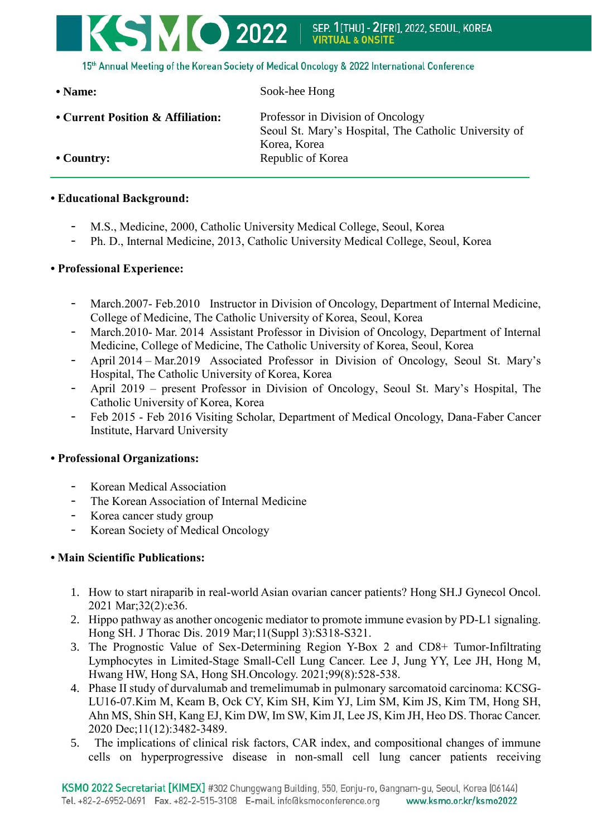

15th Annual Meeting of the Korean Society of Medical Oncology & 2022 International Conference

**• Name:** Sook-hee Hong

• **Current Position & Affiliation:** Professor in Division of Oncology

Seoul St. Mary's Hospital, The Catholic University of Korea, Korea • **Country:** Republic of Korea

## **• Educational Background:**

- M.S., Medicine, 2000, Catholic University Medical College, Seoul, Korea
- Ph. D., Internal Medicine, 2013, Catholic University Medical College, Seoul, Korea

## **• Professional Experience:**

- March.2007- Feb.2010 Instructor in Division of Oncology, Department of Internal Medicine, College of Medicine, The Catholic University of Korea, Seoul, Korea
- March.2010- Mar. 2014 Assistant Professor in Division of Oncology, Department of Internal Medicine, College of Medicine, The Catholic University of Korea, Seoul, Korea
- April 2014 Mar.2019 Associated Professor in Division of Oncology, Seoul St. Mary's Hospital, The Catholic University of Korea, Korea
- April 2019 present Professor in Division of Oncology, Seoul St. Mary's Hospital, The Catholic University of Korea, Korea
- Feb 2015 Feb 2016 Visiting Scholar, Department of Medical Oncology, Dana-Faber Cancer Institute, Harvard University

## **• Professional Organizations:**

- Korean Medical Association
- The Korean Association of Internal Medicine
- Korea cancer study group
- Korean Society of Medical Oncology

## **• Main Scientific Publications:**

- 1. How to start niraparib in real-world Asian ovarian cancer patients? Hong SH.J Gynecol Oncol. 2021 Mar;32(2):e36.
- 2. Hippo pathway as another oncogenic mediator to promote immune evasion by PD-L1 signaling. Hong SH. J Thorac Dis. 2019 Mar;11(Suppl 3):S318-S321.
- 3. The Prognostic Value of Sex-Determining Region Y-Box 2 and CD8+ Tumor-Infiltrating Lymphocytes in Limited-Stage Small-Cell Lung Cancer. Lee J, Jung YY, Lee JH, Hong M, Hwang HW, Hong SA, Hong SH.Oncology. 2021;99(8):528-538.
- 4. Phase II study of durvalumab and tremelimumab in pulmonary sarcomatoid carcinoma: KCSG-LU16-07.Kim M, Keam B, Ock CY, Kim SH, Kim YJ, Lim SM, Kim JS, Kim TM, Hong SH, Ahn MS, Shin SH, Kang EJ, Kim DW, Im SW, Kim JI, Lee JS, Kim JH, Heo DS. Thorac Cancer. 2020 Dec;11(12):3482-3489.
- 5. The implications of clinical risk factors, CAR index, and compositional changes of immune cells on hyperprogressive disease in non-small cell lung cancer patients receiving